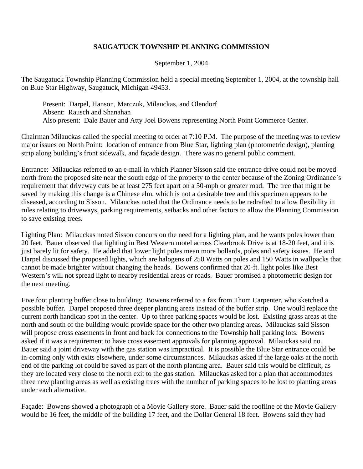## **SAUGATUCK TOWNSHIP PLANNING COMMISSION**

September 1, 2004

The Saugatuck Township Planning Commission held a special meeting September 1, 2004, at the township hall on Blue Star Highway, Saugatuck, Michigan 49453.

 Present: Darpel, Hanson, Marczuk, Milauckas, and Olendorf Absent: Rausch and Shanahan Also present: Dale Bauer and Atty Joel Bowens representing North Point Commerce Center.

Chairman Milauckas called the special meeting to order at 7:10 P.M. The purpose of the meeting was to review major issues on North Point: location of entrance from Blue Star, lighting plan (photometric design), planting strip along building's front sidewalk, and façade design. There was no general public comment.

Entrance: Milauckas referred to an e-mail in which Planner Sisson said the entrance drive could not be moved north from the proposed site near the south edge of the property to the center because of the Zoning Ordinance's requirement that driveway cuts be at least 275 feet apart on a 50-mph or greater road. The tree that might be saved by making this change is a Chinese elm, which is not a desirable tree and this specimen appears to be diseased, according to Sisson. Milauckas noted that the Ordinance needs to be redrafted to allow flexibility in rules relating to driveways, parking requirements, setbacks and other factors to allow the Planning Commission to save existing trees.

Lighting Plan: Milauckas noted Sisson concurs on the need for a lighting plan, and he wants poles lower than 20 feet. Bauer observed that lighting in Best Western motel across Clearbrook Drive is at 18-20 feet, and it is just barely lit for safety. He added that lower light poles mean more bollards, poles and safety issues. He and Darpel discussed the proposed lights, which are halogens of 250 Watts on poles and 150 Watts in wallpacks that cannot be made brighter without changing the heads. Bowens confirmed that 20-ft. light poles like Best Western's will not spread light to nearby residential areas or roads. Bauer promised a photometric design for the next meeting.

Five foot planting buffer close to building: Bowens referred to a fax from Thom Carpenter, who sketched a possible buffer. Darpel proposed three deeper planting areas instead of the buffer strip. One would replace the current north handicap spot in the center. Up to three parking spaces would be lost. Existing grass areas at the north and south of the building would provide space for the other two planting areas. Milauckas said Sisson will propose cross easements in front and back for connections to the Township hall parking lots. Bowens asked if it was a requirement to have cross easement approvals for planning approval. Milauckas said no. Bauer said a joint driveway with the gas station was impractical. It is possible the Blue Star entrance could be in-coming only with exits elsewhere, under some circumstances. Milauckas asked if the large oaks at the north end of the parking lot could be saved as part of the north planting area. Bauer said this would be difficult, as they are located very close to the north exit to the gas station. Milauckas asked for a plan that accommodates three new planting areas as well as existing trees with the number of parking spaces to be lost to planting areas under each alternative.

Façade: Bowens showed a photograph of a Movie Gallery store. Bauer said the roofline of the Movie Gallery would be 16 feet, the middle of the building 17 feet, and the Dollar General 18 feet. Bowens said they had